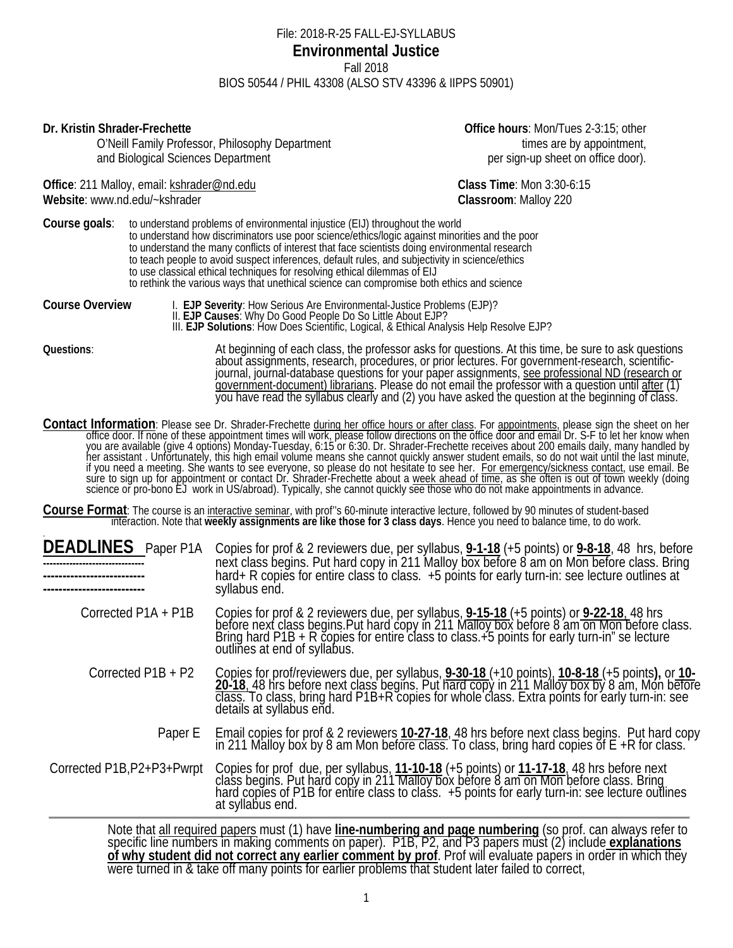#### File: 2018-R-25 FALL-EJ-SYLLABUS **Environmental Justice** Fall 2018 BIOS 50544 / PHIL 43308 (ALSO STV 43396 & IIPPS 50901)

**Dr. Kristin Shrader-Frechette Office hours**: Mon/Tues 2-3:15; other

O'Neill Family Professor, Philosophy Department the state of the state of times are by appointment, and Biological Sciences Department **per sign-up sheet on office door**).

Office: 211 Malloy, email: **kshrader@nd.edu Class Time**: Mon 3:30-6:15 **Website**: www.nd.edu/~kshrader **Classroom**: Malloy 220

**Course goals:** to understand problems of environmental injustice (EIJ) throughout the world to understand how discriminators use poor science/ethics/logic against minorities and the poor to understand the many conflicts of interest that face scientists doing environmental research to teach people to avoid suspect inferences, default rules, and subjectivity in science/ethics to use classical ethical techniques for resolving ethical dilemmas of EIJ to rethink the various ways that unethical science can compromise both ethics and science

Course Overview 1. EJP Severity: How Serious Are Environmental-Justice Problems (EJP)?<br>
II. EJP Causes: Why Do Good People Do So Little About EJP?<br>
III. EJP Solutions: How Does Scientific, Logical, & Ethical Analysis Help government-document) librarians. Please do not email the professor with a question until <u>after</u> (1)<br>you have read the syllabus clearly and (2) you have asked the question at the beginning of class.

Contact Information: Please see Dr. Shrader-Frechette during her office hours or after class. For appointments, please sign the sheet on her<br>office door. If none of these appointment times will work, please follow directio you are available (give 4 options) Monday-Tuesday, 6:15 or 6:30. Dr. Shrader-Frechette receives about 200 emails daily, many handled by<br>her assistant . Unfortunately, this high email volume means she cannot quickly answer if you need a meeting. She wants to see everyone, so please do not hesitate to see her. For emergency/sickness contact, use email. Be sure to sign up for appointment or contact Dr. Shrader-Frechette about a <u>week ahead of time</u>, as she often is out of town weekly (doing<br>science or pro-bono EJ work in US/abroad). Typically, she cannot quickly see those w

Course Format: The course is an <u>interactive seminar</u>, with prof"s 60-minute interactive lecture, followed by 90 minutes of student-based<br>interaction. Note that weekly assignments are like those for 3 class days. Hence you

| <b>DEADLINES</b><br>Paper P1A                                                                               | Copies for prof & 2 reviewers due, per syllabus, <b>9-1-18</b> (+5 points) or <b>9-8-18</b> , 48 hrs, before<br>next class begins. Put hard copy in 211 Malloy box before 8 am on Mon before class. Bring<br>hard+ R copies for entire class to class. +5 points for early turn-in: see lecture outlines at<br>syllabus end. |  |
|-------------------------------------------------------------------------------------------------------------|------------------------------------------------------------------------------------------------------------------------------------------------------------------------------------------------------------------------------------------------------------------------------------------------------------------------------|--|
| Corrected P1A + P1B                                                                                         | Copies for prof & 2 reviewers due, per syllabus, 9-15-18 (+5 points) or 9-22-18, 48 hrs<br>before next class begins. Put hard copy in 211 Malloy box before 8 am on Mon before class.<br>Bring hard P1B + R copies for entire class<br>outlines at end of syllabus.                                                          |  |
| Corrected $P1B + P2$                                                                                        | Copies for prof/reviewers due, per syllabus, <b>9-30-18</b> (+10 points), <b>10-8-18</b> (+5 points), or 10-<br>20-18, 48 hrs before next class begins. Put hard copy in 211 Malloy box by 8 am, Mon before<br>class. To class, bring hard P1B<br>details at syllabus end.                                                   |  |
|                                                                                                             | Paper E Email copies for prof & 2 reviewers 10-27-18, 48 hrs before next class begins. Put hard copy<br>in 211 Malloy box by 8 am Mon before class. To class, bring hard copies of E +R for class.                                                                                                                           |  |
| Corrected P1B, P2+P3+Pwrpt                                                                                  | Copies for prof due, per syllabus, 11-10-18 (+5 points) or 11-17-18, 48 hrs before next class begins. Put hard copy in 211 Malloy box before 8 am on Mon before class. Bring hard copy for entire class to class. +5 points fo<br>at syllabus end.                                                                           |  |
| Note that all required papers must (1) have line numbering and nage numbering (so aref. can always refer to |                                                                                                                                                                                                                                                                                                                              |  |

Note that all required papers must (1) have **line-numbering and page numbering** (so prof. can always refer to specific line numbers in making comments on paper). P1B, P2, and P3 papers must (2) include **explanations of why student did not correct any earlier comment by prof**. Prof will evaluate papers in order in which they<br>were turned in & take off many points for earlier problems that student later failed to correct,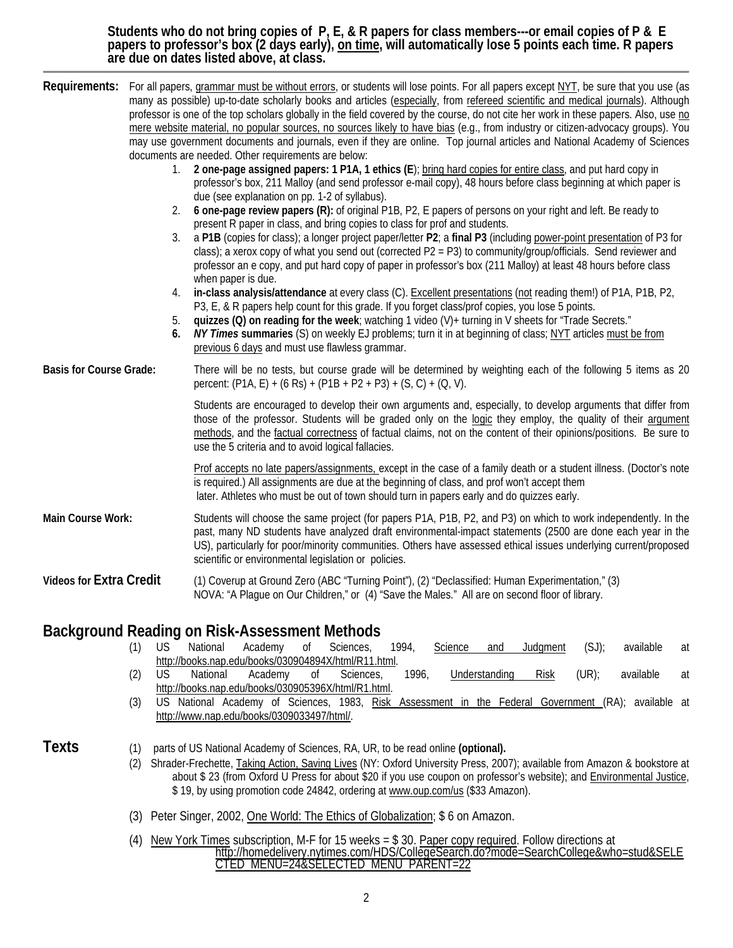**Students who do not bring copies of P, E, & R papers for class members---or email copies of P & E**  papers to professor′s box (2 days early), <u>on time,</u> will automatically lose 5 points each time. R papers.<br>are due on dates listed above, at class.

|                                | 1.<br>2.<br>3.<br>4.<br>5.<br>6.            | Requirements: For all papers, grammar must be without errors, or students will lose points. For all papers except NYT, be sure that you use (as<br>many as possible) up-to-date scholarly books and articles (especially, from refereed scientific and medical journals). Although<br>professor is one of the top scholars globally in the field covered by the course, do not cite her work in these papers. Also, use no<br>mere website material, no popular sources, no sources likely to have bias (e.g., from industry or citizen-advocacy groups). You<br>may use government documents and journals, even if they are online. Top journal articles and National Academy of Sciences<br>documents are needed. Other requirements are below:<br>2 one-page assigned papers: 1 P1A, 1 ethics (E); bring hard copies for entire class, and put hard copy in<br>professor's box, 211 Malloy (and send professor e-mail copy), 48 hours before class beginning at which paper is<br>due (see explanation on pp. 1-2 of syllabus).<br>6 one-page review papers (R): of original P1B, P2, E papers of persons on your right and left. Be ready to<br>present R paper in class, and bring copies to class for prof and students.<br>a P1B (copies for class); a longer project paper/letter P2; a final P3 (including power-point presentation of P3 for<br>class); a xerox copy of what you send out (corrected P2 = P3) to community/group/officials. Send reviewer and<br>professor an e copy, and put hard copy of paper in professor's box (211 Malloy) at least 48 hours before class<br>when paper is due.<br>in-class analysis/attendance at every class (C). Excellent presentations (not reading them!) of P1A, P1B, P2,<br>P3, E, & R papers help count for this grade. If you forget class/prof copies, you lose 5 points.<br>quizzes (Q) on reading for the week; watching 1 video (V)+ turning in V sheets for "Trade Secrets."<br>NY Times summaries (S) on weekly EJ problems; turn it in at beginning of class; NYT articles must be from<br>previous 6 days and must use flawless grammar. |
|--------------------------------|---------------------------------------------|------------------------------------------------------------------------------------------------------------------------------------------------------------------------------------------------------------------------------------------------------------------------------------------------------------------------------------------------------------------------------------------------------------------------------------------------------------------------------------------------------------------------------------------------------------------------------------------------------------------------------------------------------------------------------------------------------------------------------------------------------------------------------------------------------------------------------------------------------------------------------------------------------------------------------------------------------------------------------------------------------------------------------------------------------------------------------------------------------------------------------------------------------------------------------------------------------------------------------------------------------------------------------------------------------------------------------------------------------------------------------------------------------------------------------------------------------------------------------------------------------------------------------------------------------------------------------------------------------------------------------------------------------------------------------------------------------------------------------------------------------------------------------------------------------------------------------------------------------------------------------------------------------------------------------------------------------------------------------------------------------------------------------------------------------------------------------------------------------------|
| <b>Basis for Course Grade:</b> |                                             | There will be no tests, but course grade will be determined by weighting each of the following 5 items as 20<br>percent: $(PIA, E) + (6 Rs) + (PIB + P2 + P3) + (S, C) + (Q, V).$                                                                                                                                                                                                                                                                                                                                                                                                                                                                                                                                                                                                                                                                                                                                                                                                                                                                                                                                                                                                                                                                                                                                                                                                                                                                                                                                                                                                                                                                                                                                                                                                                                                                                                                                                                                                                                                                                                                          |
|                                |                                             | Students are encouraged to develop their own arguments and, especially, to develop arguments that differ from<br>those of the professor. Students will be graded only on the logic they employ, the quality of their argument<br>methods, and the factual correctness of factual claims, not on the content of their opinions/positions. Be sure to<br>use the 5 criteria and to avoid logical fallacies.                                                                                                                                                                                                                                                                                                                                                                                                                                                                                                                                                                                                                                                                                                                                                                                                                                                                                                                                                                                                                                                                                                                                                                                                                                                                                                                                                                                                                                                                                                                                                                                                                                                                                                  |
|                                |                                             | Prof accepts no late papers/assignments, except in the case of a family death or a student illness. (Doctor's note<br>is required.) All assignments are due at the beginning of class, and prof won't accept them<br>later. Athletes who must be out of town should turn in papers early and do quizzes early.                                                                                                                                                                                                                                                                                                                                                                                                                                                                                                                                                                                                                                                                                                                                                                                                                                                                                                                                                                                                                                                                                                                                                                                                                                                                                                                                                                                                                                                                                                                                                                                                                                                                                                                                                                                             |
| Main Course Work:              |                                             | Students will choose the same project (for papers P1A, P1B, P2, and P3) on which to work independently. In the<br>past, many ND students have analyzed draft environmental-impact statements (2500 are done each year in the<br>US), particularly for poor/minority communities. Others have assessed ethical issues underlying current/proposed<br>scientific or environmental legislation or policies.                                                                                                                                                                                                                                                                                                                                                                                                                                                                                                                                                                                                                                                                                                                                                                                                                                                                                                                                                                                                                                                                                                                                                                                                                                                                                                                                                                                                                                                                                                                                                                                                                                                                                                   |
| <b>Videos for Extra Credit</b> |                                             | (1) Coverup at Ground Zero (ABC "Turning Point"), (2) "Declassified: Human Experimentation," (3)<br>NOVA: "A Plague on Our Children," or (4) "Save the Males." All are on second floor of library.                                                                                                                                                                                                                                                                                                                                                                                                                                                                                                                                                                                                                                                                                                                                                                                                                                                                                                                                                                                                                                                                                                                                                                                                                                                                                                                                                                                                                                                                                                                                                                                                                                                                                                                                                                                                                                                                                                         |
|                                | <b>US</b><br>(1)<br>(2)<br><b>US</b><br>(3) | Background Reading on Risk-Assessment Methods<br>National<br>Academy<br>0f<br>Sciences,<br>1994,<br>$(SJ)$ ;<br>available<br>Science<br>Judgment<br>and<br>at<br>http://books.nap.edu/books/030904894X/html/R11.html.<br>1996,<br>$(UR)$ ;<br>National<br>Academy<br>Sciences,<br>Understanding<br>available<br>0f<br><b>Risk</b><br>at<br>http://books.nap.edu/books/030905396X/html/R1.html.<br>US National Academy of Sciences, 1983, Risk Assessment in the Federal Government (RA); available at<br>http://www.nap.edu/books/0309033497/html/.                                                                                                                                                                                                                                                                                                                                                                                                                                                                                                                                                                                                                                                                                                                                                                                                                                                                                                                                                                                                                                                                                                                                                                                                                                                                                                                                                                                                                                                                                                                                                        |
| <b>Texts</b>                   | (1)<br>(2)                                  | parts of US National Academy of Sciences, RA, UR, to be read online (optional).<br>Shrader-Frechette, <i>Taking Action, Saving Lives</i> (NY: Oxford University Press, 2007); available from Amazon & bookstore at<br>about \$23 (from Oxford U Press for about \$20 if you use coupon on professor's website); and Environmental Justice,<br>\$19, by using promotion code 24842, ordering at www.oup.com/us (\$33 Amazon).                                                                                                                                                                                                                                                                                                                                                                                                                                                                                                                                                                                                                                                                                                                                                                                                                                                                                                                                                                                                                                                                                                                                                                                                                                                                                                                                                                                                                                                                                                                                                                                                                                                                               |

- (3) Peter Singer, 2002, One World: The Ethics of Globalization; \$ 6 on Amazon.
- (4) New York Times subscription, M-F for 15 weeks = \$ 30. Paper copy required. Follow directions at [http://homedelivery.nytimes.com/HDS/CollegeSearch.do?mode=SearchCollege&who=stud&SELE](http://homedelivery.nytimes.com/HDS/CollegeSearch.do?mode=SearchCollege&who=stud&SELECTED_MENU=24&SELECTED_MENU_PARENT=22) [CTED\\_MENU=24&SELECTED\\_MENU\\_PARENT=22](http://homedelivery.nytimes.com/HDS/CollegeSearch.do?mode=SearchCollege&who=stud&SELECTED_MENU=24&SELECTED_MENU_PARENT=22)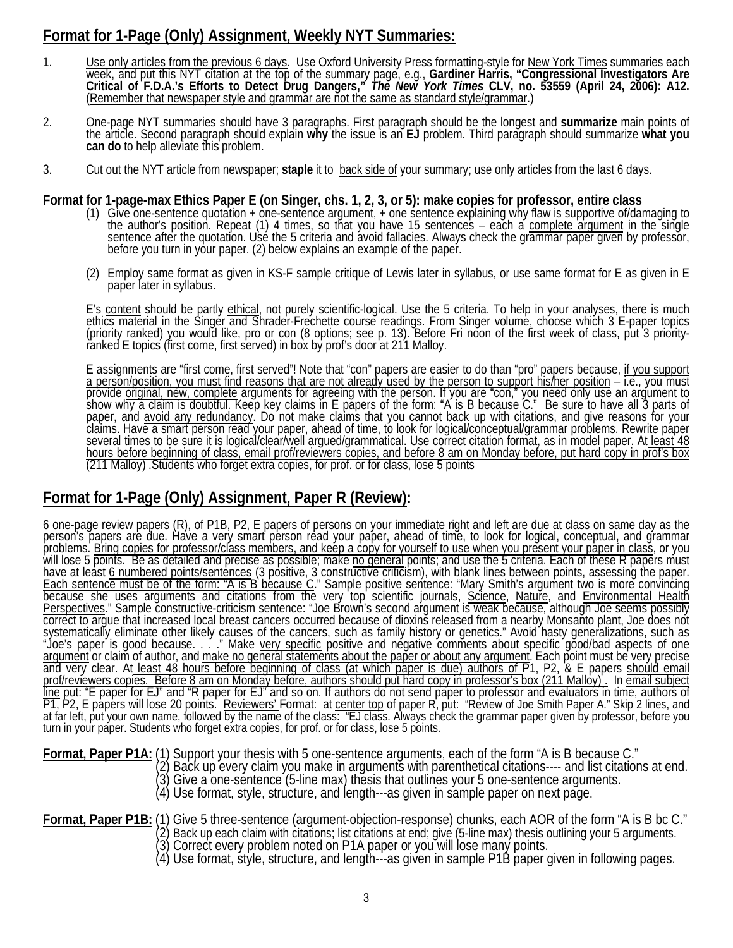# **Format for 1-Page (Only) Assignment, Weekly NYT Summaries:**

- 1. Use only articles from the previous 6 days. Use Oxford University Press formatting-style for New York Times summaries each week, and put this NYT citation at the top of the summary page, e.g., Gardiner Harris, "Congressional Investigators Are<br>Critical of F.D.A.'s Efforts to Detect Drug Dangers," *The New York Times* CLV, no. 53559 (April 24, 2
- 2. One-page NYT summaries should have 3 paragraphs. First paragraph should be the longest and summarize main points of the article. Second paragraph should explain why the issue is an EJ problem. Third paragraph should sum
- 3. Cut out the NYT article from newspaper; **staple** it to back side of your summary; use only articles from the last 6 days.

#### **Format for 1-page-max Ethics Paper E (on Singer, chs. 1, 2, 3, or 5): make copies for professor, entire class**

- (1) Give one-sentence quotation + one-sentence argument, + one sentence explaining why flaw is supportive of/damaging to the author's position. Repeat (1) 4 times, so that you have 15 sentences each a complete argument i
- (2) Employ same format as given in KS-F sample critique of Lewis later in syllabus, or use same format for E as given in E paper later in syllabus.

E's content should be partly ethical, not purely scientific-logical. Use the 5 criteria. To help in your analyses, there is much ethics material in the Singer and Shrader-Frechette course readings. From Singer volume, choose which 3 E-paper topics<br>(priority ranked) you would like, pro or con (8 options; see p. 13). Before Fri noon of the first week

E assignments are "first come, first served"! Note that "con" papers are easier to do than "pro" papers because, if you support<br>a person/position, you must find reasons that are not already used by the person to support hi paper, and <u>avoid any redundancy</u>. Do not make claims that you cannot back up with citations, and give reasons for your<br>claims. Have a smart person read your paper, ahead of time, to look for logical/conceptual/grammar pro hours before beginning of class, email prof/reviewers copies, and before 8 am on Monday before, put hard copy in prof's box (211 Malloy) .Students who forget extra copies, for prof. or for class, lose 5 points

# **Format for 1-Page (Only) Assignment, Paper R (Review):**

6 one-page review papers (R), of P1B, P2, E papers of persons on your immediate right and left are due at class on same day as the<br>person's papers are due. Have a very smart person read your paper, ahead of time, to look f <u>Perspectives</u>." Sample constructive-criticism sentence: "Joe Brown's second argument is weak because, although Joe seems possibly<br>correct to argue that increased local breast cancers occurred because of dioxins released f systematically eliminate other likely causes of the cancers, such as family history or genetics." Avoid hasty generalizations, such as<br>"Joe's paper is good because. . . . " Make <u>very specific</u> positive and negative commen argument or claim of author, and <u>make no general statements about the paper or about any argument</u>. Each point must be very precise<br>and very clear. At <u>least 48 hours before beginning of class (at which paper is due) auth</u> prof/reviewers copies. Before 8 am on Monday before, authors should put hard copy in professor's box (211 Malloy)'. In <u>email subject</u><br><u>line</u> put: "E paper for EJ" and "R paper for EJ" and so on. If authors do not send pap PT, P2, E papers will lose 20 points. Reviewers' Format: at center top of paper R, put: "Review of Joe Smith Paper A." Skip 2 lines, and at far left, put your own name, followed by the name of the class: "EJ class. Always check the grammar paper given by professor, before you<br>turn in your paper. Students who forget extra copies, for prof. or for class, lose

**Format, Paper P1A:** (1) Support your thesis with 5 one-sentence arguments, each of the form "A is B because C."<br>(2) Back up every claim you make in arguments with parenthetical citations---- and list citations at end.<br>(3)

Format, Paper P1B: (1) Give 5 three-sentence (argument-objection-response) chunks, each AOR of the form "A is B bc C."<br>(2) Back up each claim with citations; list citations at end; give (5-line max) thesis outlining your 5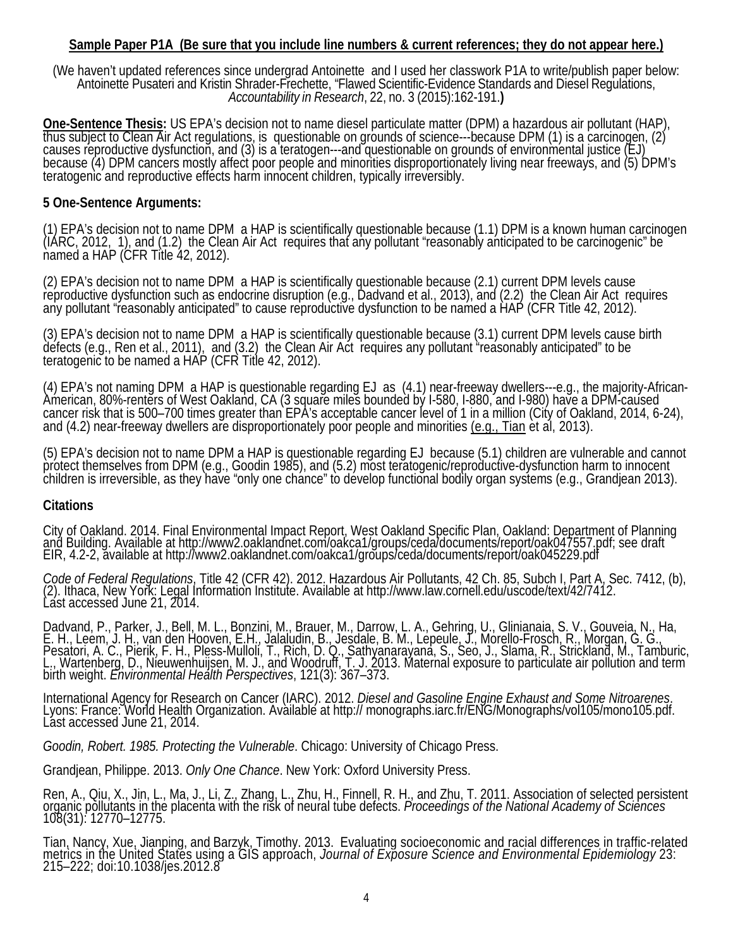#### **Sample Paper P1A (Be sure that you include line numbers & current references; they do not appear here.)**

(We haven't updated references since undergrad Antoinette and I used her classwork P1A to write/publish paper below: Antoinette Pusateri and Kristin Shrader-Frechette, "Flawed Scientific-Evidence Standards and Diesel Regulations, *Accountability in Research*, 22, no. <sup>3</sup> (2015):162-191.**)**

**One-Sentence Thesis:** US EPA's decision not to name diesel particulate matter (DPM) a hazardous air pollutant (HAP), thus subject to Clean Air Act regulations, is questionable on grounds of science---because DPM (1) is a teratogenic and reproductive effects harm innocent children, typically irreversibly.

#### **5 One-Sentence Arguments:**

(1) EPA's decision not to name DPM a HAP is scientifically questionable because (1.1) DPM is a known human carcinogen<br>(IARC, 2012, 1), and (1.2) the Clean Air Act requires that any pollutant "reasonably anticipated to be c

(2) EPA's decision not to name DPM a HAP is scientifically questionable because (2.1) current DPM levels cause<br>reproductive dysfunction such as endocrine disruption (e.g., Dadvand et al., 2013), and (2.2) the Clean Air Act

(3) EPA's decision not to name DPM a HAP is scientifically questionable because (3.1) current DPM levels cause birth defects (e.g., Ren et al., 2011), and (3.2) the Clean Air Act requires any pollutant "reasonably anticipated" to be<br>teratogenic to be named a HAP (CFR Title 42, 2012).

(4) EPA's not naming DPM a HAP is questionable regarding EJ as (4.1) near-freeway dwellers---e.g., the majority-African-<br>American, 80%-renters of West Oakland, CA (3 square miles bounded by I-580, I-880, and I-980) have a cancer risk that is 500–700 times greater than EPA's acceptable cancer level of 1 in a million (City of Oakland, 2014, 6-24), and (4.2) near-freeway dwellers are disproportionately poor people and minorities (e.g., Tian et

(5) EPA's decision not to name DPM a HAP is questionable regarding EJ because (5.1) children are vulnerable and cannot children is irreversible, as they have "only one chance" to develop functional bodily organ systems (e.g., Grandjean 2013).

#### **Citations**

City of Oakland. 2014. Final Environmental Impact Report, West Oakland Specific Plan, Oakland: Department of Planning<br>and Building. Available at http://www2.oaklandnet.com/oakca1/groups/ceda/documents/report/oak047557.pdf; EIR, 4.2-2, available at http://www2.oaklandnet.com/oakca1/groups/ceda/documents/report/oak045229.pdf

Code of Federal Regulations, Title 42 (CFR 42). 2012. Hazardous Air Pollutants, 42 Ch. 85, Subch I, Part A, Sec. 7412, (b),<br>(2). Ithaca, New York: Legal Information Institute. Available at http://www.law.cornell.edu/uscode

Dadvand, P., Parker, J., Bell, M. L., Bonzini, M., Brauer, M., Darrow, L. A., Gehring, U., Glinianaia, S. V., Gouveia, N., Ha, E. H., Leem, J. H., van den Hooven, E.H., Jalaludin, B., Jesdale, B. M., Lepeule, J., Morello-F

International Agency for Research on Cancer (IARC). 2012. *Diesel and Gasoline Engine Exhaust and Some Nitroarenes.*<br>Lyons: France: World Health Organization. Available at http:// monographs.iarc.fr/ENG/Monographs/vol105/m Last accessed June 21, 2014.

*Goodin, Robert. 1985. Protecting the Vulnerable*. Chicago: University of Chicago Press.

Grandjean, Philippe. 2013. *Only One Chance*. New York: Oxford University Press.

Ren, A., Qiu, X., Jin, L., Ma, J., Li, Z., Zhang, L., Zhu, H., Finnell, R. H., and Zhu, T. 2011. Association of selected persistent organic pollutants in the placenta with the rišk of neural tube defects. *Proceedings of the National Academy of Sciences*<br>108(31): 12770–12775.

Tian, Nancy, Xue, Jianping, and Barzyk, Timothy. 2013. Evaluating socioeconomic and racial differences in traffic-related metrics in the United States using a GIS approach, *Journal of Exposure Science and Environmental Epidemiology* 23: 215–222; doi:10.1038/jes.2012.8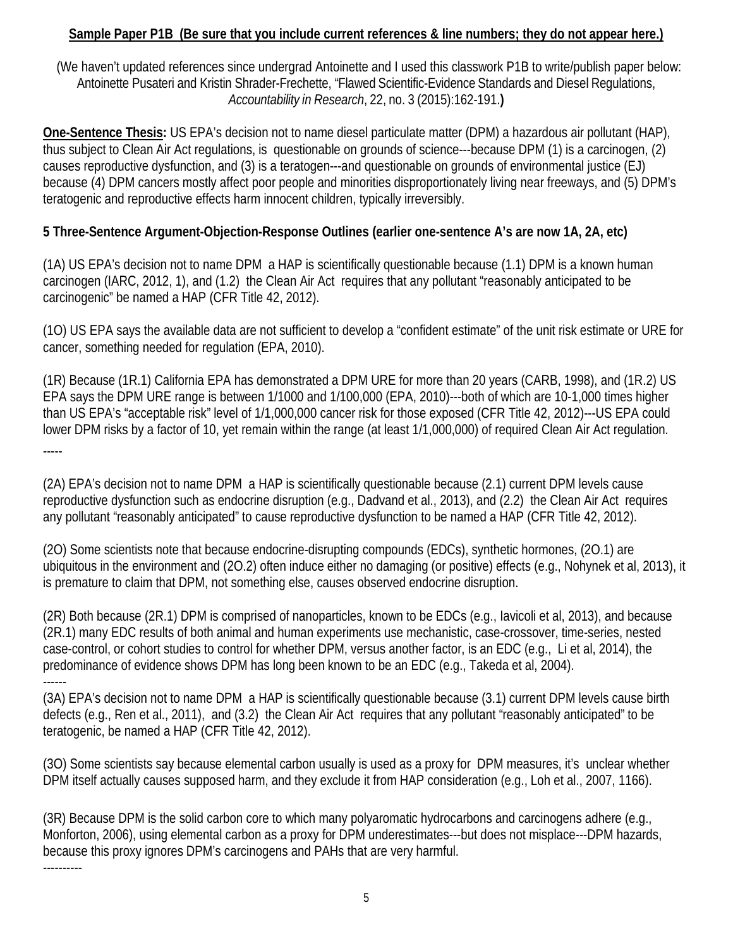## **Sample Paper P1B (Be sure that you include current references & line numbers; they do not appear here.)**

(We haven't updated references since undergrad Antoinette and I used this classwork P1B to write/publish paper below: Antoinette Pusateri and Kristin Shrader-Frechette, "Flawed Scientific-Evidence Standards and Diesel Regulations, *Accountability in Research*, 22, no. 3 (2015):162-191.**)**

**One-Sentence Thesis:** US EPA's decision not to name diesel particulate matter (DPM) a hazardous air pollutant (HAP), thus subject to Clean Air Act regulations, is questionable on grounds of science---because DPM (1) is a carcinogen, (2) causes reproductive dysfunction, and (3) is a teratogen---and questionable on grounds of environmental justice (EJ) because (4) DPM cancers mostly affect poor people and minorities disproportionately living near freeways, and (5) DPM's teratogenic and reproductive effects harm innocent children, typically irreversibly.

## **5 Three-Sentence Argument-Objection-Response Outlines (earlier one-sentence A's are now 1A, 2A, etc)**

(1A) US EPA's decision not to name DPM a HAP is scientifically questionable because (1.1) DPM is a known human carcinogen (IARC, 2012, 1), and (1.2) the Clean Air Act requires that any pollutant "reasonably anticipated to be carcinogenic" be named a HAP (CFR Title 42, 2012).

(1O) US EPA says the available data are not sufficient to develop a "confident estimate" of the unit risk estimate or URE for cancer, something needed for regulation (EPA, 2010).

(1R) Because (1R.1) California EPA has demonstrated a DPM URE for more than 20 years (CARB, 1998), and (1R.2) US EPA says the DPM URE range is between 1/1000 and 1/100,000 (EPA, 2010)---both of which are 10-1,000 times higher than US EPA's "acceptable risk" level of 1/1,000,000 cancer risk for those exposed (CFR Title 42, 2012)---US EPA could lower DPM risks by a factor of 10, yet remain within the range (at least 1/1,000,000) of required Clean Air Act regulation. -----

(2A) EPA's decision not to name DPM a HAP is scientifically questionable because (2.1) current DPM levels cause reproductive dysfunction such as endocrine disruption (e.g., Dadvand et al., 2013), and (2.2) the Clean Air Act requires any pollutant "reasonably anticipated" to cause reproductive dysfunction to be named a HAP (CFR Title 42, 2012).

(2O) Some scientists note that because endocrine-disrupting compounds (EDCs), synthetic hormones, (2O.1) are ubiquitous in the environment and (2O.2) often induce either no damaging (or positive) effects (e.g., Nohynek et al, 2013), it is premature to claim that DPM, not something else, causes observed endocrine disruption.

(2R) Both because (2R.1) DPM is comprised of nanoparticles, known to be EDCs (e.g., Iavicoli et al, 2013), and because (2R.1) many EDC results of both animal and human experiments use mechanistic, case-crossover, time-series, nested case-control, or cohort studies to control for whether DPM, versus another factor, is an EDC (e.g., Li et al, 2014), the predominance of evidence shows DPM has long been known to be an EDC (e.g., Takeda et al, 2004). ------

(3A) EPA's decision not to name DPM a HAP is scientifically questionable because (3.1) current DPM levels cause birth defects (e.g., Ren et al., 2011), and (3.2) the Clean Air Act requires that any pollutant "reasonably anticipated" to be teratogenic, be named a HAP (CFR Title 42, 2012).

(3O) Some scientists say because elemental carbon usually is used as a proxy for DPM measures, it's unclear whether DPM itself actually causes supposed harm, and they exclude it from HAP consideration (e.g., Loh et al., 2007, 1166).

(3R) Because DPM is the solid carbon core to which many polyaromatic hydrocarbons and carcinogens adhere (e.g., Monforton, 2006), using elemental carbon as a proxy for DPM underestimates---but does not misplace---DPM hazards, because this proxy ignores DPM's carcinogens and PAHs that are very harmful. ----------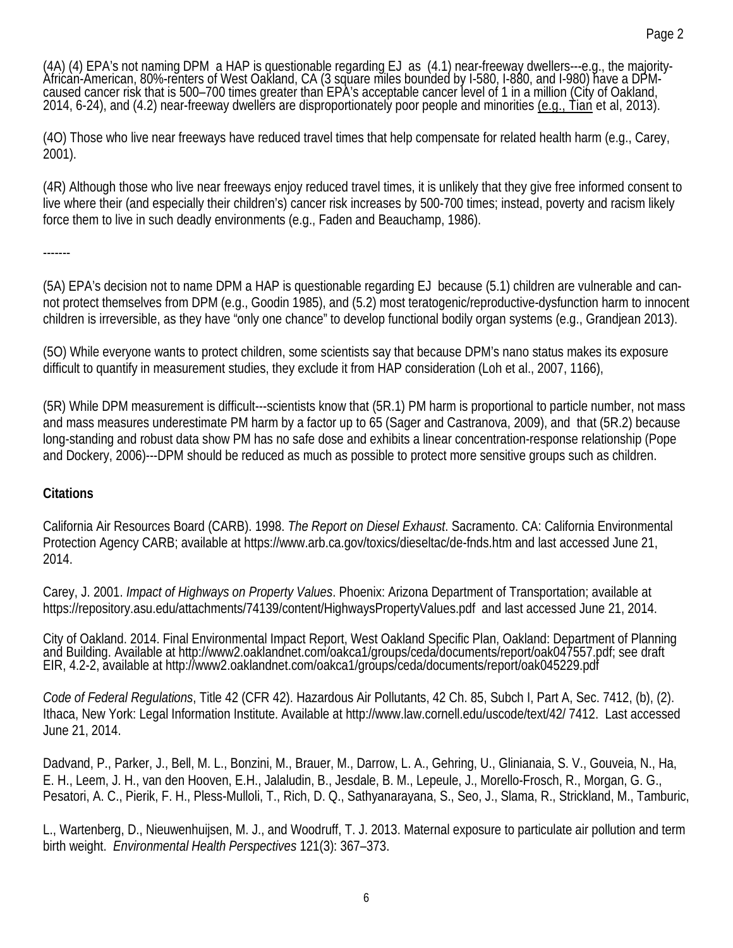(4A) (4) EPA's not naming DPM a HAP is questionable regarding EJ as (4.1) near-freeway dwellers---e.g., the majority-<br>African-American, 80%-renters of West Oakland, CA (3 square miles bounded by I-580, I-880, and I-980) ha

(4O) Those who live near freeways have reduced travel times that help compensate for related health harm (e.g., Carey, 2001).

(4R) Although those who live near freeways enjoy reduced travel times, it is unlikely that they give free informed consent to live where their (and especially their children's) cancer risk increases by 500-700 times; instead, poverty and racism likely force them to live in such deadly environments (e.g., Faden and Beauchamp, 1986).

-------

(5A) EPA's decision not to name DPM a HAP is questionable regarding EJ because (5.1) children are vulnerable and cannot protect themselves from DPM (e.g., Goodin 1985), and (5.2) most teratogenic/reproductive-dysfunction harm to innocent children is irreversible, as they have "only one chance" to develop functional bodily organ systems (e.g., Grandjean 2013).

(5O) While everyone wants to protect children, some scientists say that because DPM's nano status makes its exposure difficult to quantify in measurement studies, they exclude it from HAP consideration (Loh et al., 2007, 1166),

(5R) While DPM measurement is difficult---scientists know that (5R.1) PM harm is proportional to particle number, not mass and mass measures underestimate PM harm by a factor up to 65 (Sager and Castranova, 2009), and that (5R.2) because long-standing and robust data show PM has no safe dose and exhibits a linear concentration-response relationship (Pope and Dockery, 2006)---DPM should be reduced as much as possible to protect more sensitive groups such as children.

### **Citations**

California Air Resources Board (CARB). 1998. *The Report on Diesel Exhaust*. Sacramento. CA: California Environmental Protection Agency CARB; available at<https://www.arb.ca.gov/toxics/dieseltac/de-fnds.htm> and last accessed June 21, 2014.

Carey, J. 2001. *Impact of Highways on Property Values*. Phoenix: Arizona Department of Transportation; available at https://repository.asu.edu/attachments/74139/content/HighwaysPropertyValues.pdf and last accessed June 21, 2014.

City of Oakland. 2014. Final Environmental Impact Report, West Oakland Specific Plan, Oakland: Department of Planning<br>and Building. Available at http://www2.oaklandnet.com/oakca1/groups/ceda/documents/report/oak047557.pdf; EIR, 4.2-2, available at http://www2.oaklandnet.com/oakca1/groups/ceda/documents/report/oak045229.pdf

*Code of Federal Regulations*, Title 42 (CFR 42). Hazardous Air Pollutants, 42 Ch. 85, Subch I, Part A, Sec. 7412, (b), (2). Ithaca, New York: Legal Information Institute. Available at http://www.law.cornell.edu/uscode/text/42/ 7412. Last accessed June 21, 2014.

Dadvand, P., Parker, J., Bell, M. L., Bonzini, M., Brauer, M., Darrow, L. A., Gehring, U., Glinianaia, S. V., Gouveia, N., Ha, E. H., Leem, J. H., van den Hooven, E.H., Jalaludin, B., Jesdale, B. M., Lepeule, J., Morello-Frosch, R., Morgan, G. G., Pesatori, A. C., Pierik, F. H., Pless-Mulloli, T., Rich, D. Q., Sathyanarayana, S., Seo, J., Slama, R., Strickland, M., Tamburic,

L., Wartenberg, D., Nieuwenhuijsen, M. J., and Woodruff, T. J. 2013. Maternal exposure to particulate air pollution and term birth weight. *Environmental Health Perspectives* 121(3): 367–373.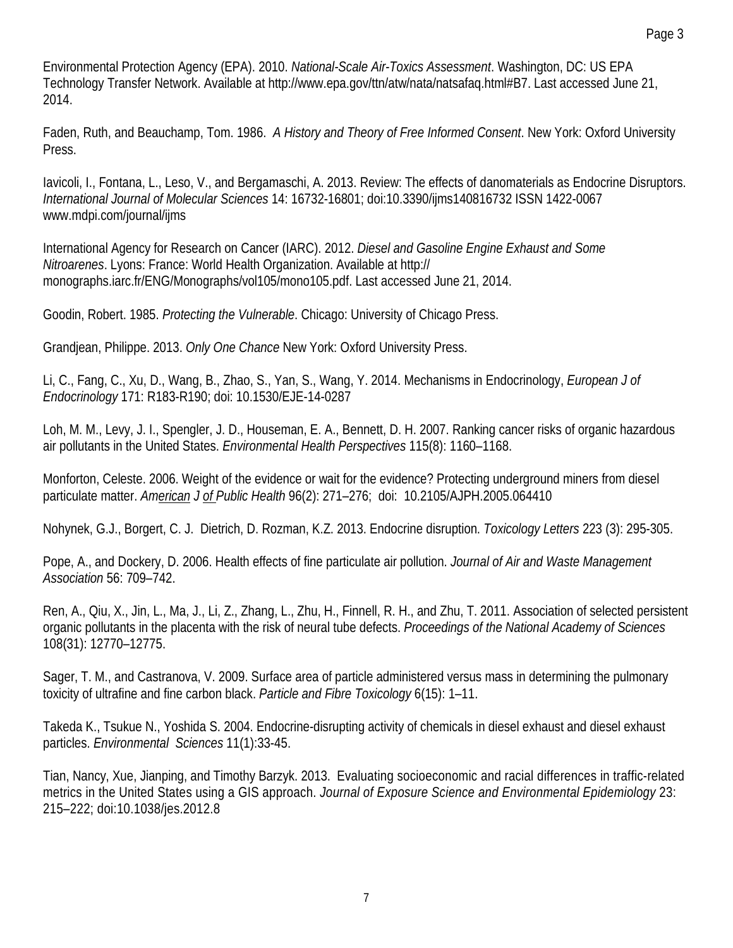Environmental Protection Agency (EPA). 2010. *National-Scale Air-Toxics Assessment*. Washington, DC: US EPA Technology Transfer Network. Available at http://www.epa.gov/ttn/atw/nata/natsafaq.html#B7. Last accessed June 21, 2014.

Faden, Ruth, and Beauchamp, Tom. 1986. *A History and Theory of Free Informed Consent*. New York: Oxford University Press.

Iavicoli, I., Fontana, L., Leso, V., and Bergamaschi, A. 2013. Review: The effects of danomaterials as Endocrine Disruptors. *International Journal of Molecular Sciences* 14: 16732-16801; doi:10.3390/ijms140816732 ISSN 1422-0067 www.mdpi.com/journal/ijms

International Agency for Research on Cancer (IARC). 2012. *Diesel and Gasoline Engine Exhaust and Some Nitroarenes*. Lyons: France: World Health Organization. Available at http:// monographs.iarc.fr/ENG/Monographs/vol105/mono105.pdf. Last accessed June 21, 2014.

Goodin, Robert. 1985. *Protecting the Vulnerable*. Chicago: University of Chicago Press.

Grandjean, Philippe. 2013. *Only One Chance* New York: Oxford University Press.

Li, C., Fang, C., Xu, D., Wang, B., Zhao, S., Yan, S., Wang, Y. 2014. Mechanisms in Endocrinology, *European J of Endocrinology* 171: R183-R190; doi: 10.1530/EJE-14-0287

Loh, M. M., Levy, J. I., Spengler, J. D., Houseman, E. A., Bennett, D. H. 2007. Ranking cancer risks of organic hazardous air pollutants in the United States. *Environmental Health Perspectives* 115(8): 1160–1168.

[Monforton,](https://www.ncbi.nlm.nih.gov/pubmed/?term=Monforton%20C%5BAuthor%5D&cauthor=true&cauthor_uid=16380560) Celeste. 2006. Weight of the evidence or wait for the evidence? Protecting underground miners from diesel particulate matter. *American [J of Public Health](https://www.ncbi.nlm.nih.gov/pmc/articles/PMC1470492/)* 96(2): 271–276; doi: [10.2105/AJPH.2005.064410](https://dx.doi.org/10.2105%2FAJPH.2005.064410)

[Nohynek,](https://www.sciencedirect.com/science/article/pii/S0378427413013659%23!) G.J., Borgert, [C. J. Dietrich, D. Rozman,](https://www.sciencedirect.com/science/article/pii/S0378427413013659%23!) K.Z. 2013. Endocrine disruption. *[Toxicology Letters](https://www.sciencedirect.com/science/journal/03784274)* 223 (3): 295-305.

Pope, A., and Dockery, D. 2006. Health effects of fine particulate air pollution. *Journal of Air and Waste Management Association* 56: 709–742.

Ren, A., Qiu, X., Jin, L., Ma, J., Li, Z., Zhang, L., Zhu, H., Finnell, R. H., and Zhu, T. 2011. Association of selected persistent organic pollutants in the placenta with the risk of neural tube defects. *Proceedings of the National Academy of Sciences*  108(31): 12770–12775.

Sager, T. M., and Castranova, V. 2009. Surface area of particle administered versus mass in determining the pulmonary toxicity of ultrafine and fine carbon black. *Particle and Fibre Toxicology* 6(15): 1–11.

Takeda K., Tsukue N., Yoshida S. 2004. Endocrine-disrupting activity of chemicals in diesel exhaust and diesel exhaust particles. *Environmental Sciences* 11(1):33-45.

Tian, Nancy, Xue, Jianping, and Timothy Barzyk. 2013. Evaluating socioeconomic and racial differences in traffic-related metrics in the United States using a GIS approach. *Journal of Exposure Science and Environmental Epidemiology* 23: 215–222; doi:10.1038/jes.2012.8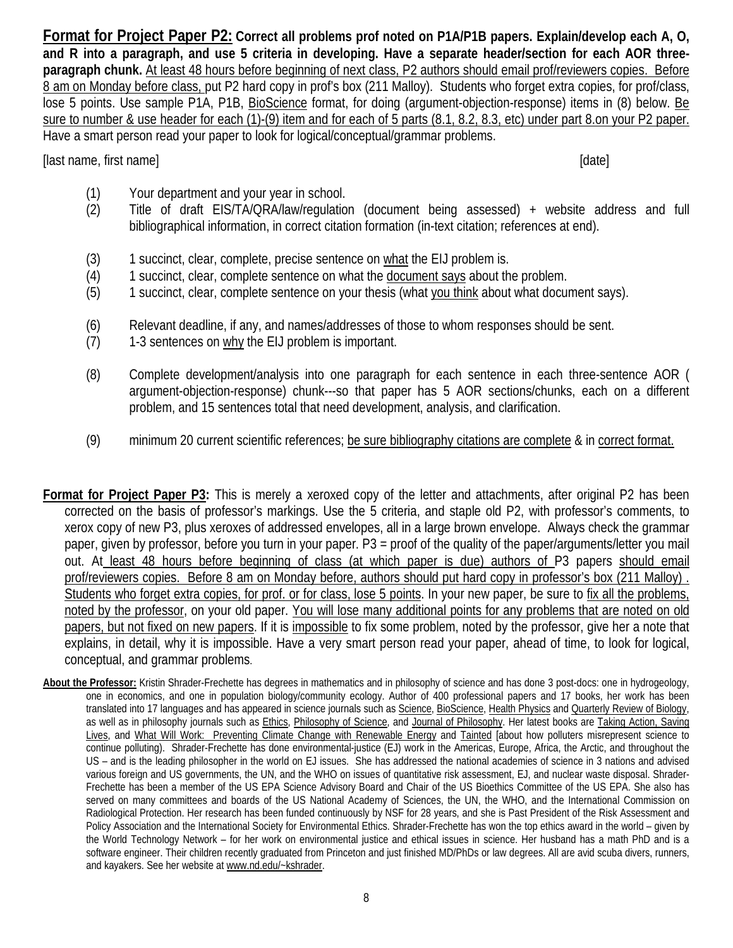**Format for Project Paper P2: Correct all problems prof noted on P1A/P1B papers. Explain/develop each A, O, and R into a paragraph, and use 5 criteria in developing. Have a separate header/section for each AOR threeparagraph chunk.** At least 48 hours before beginning of next class, P2 authors should email prof/reviewers copies. Before 8 am on Monday before class, put P2 hard copy in prof's box (211 Malloy). Students who forget extra copies, for prof/class, lose 5 points. Use sample P1A, P1B, BioScience format, for doing (argument-objection-response) items in (8) below. Be sure to number & use header for each (1)-(9) item and for each of 5 parts (8.1, 8.2, 8.3, etc) under part 8.on your P2 paper. Have a smart person read your paper to look for logical/conceptual/grammar problems.

[last name, first name] [date]

- (1) Your department and your year in school.
- (2) Title of draft EIS/TA/QRA/law/regulation (document being assessed) + website address and full bibliographical information, in correct citation formation (in-text citation; references at end).
- (3) 1 succinct, clear, complete, precise sentence on what the EIJ problem is.
- (4) 1 succinct, clear, complete sentence on what the document says about the problem.
- (5) 1 succinct, clear, complete sentence on your thesis (what you think about what document says).
- (6) Relevant deadline, if any, and names/addresses of those to whom responses should be sent.
- $(7)$  1-3 sentences on why the EIJ problem is important.
- (8) Complete development/analysis into one paragraph for each sentence in each three-sentence AOR ( argument-objection-response) chunk---so that paper has 5 AOR sections/chunks, each on a different problem, and 15 sentences total that need development, analysis, and clarification.
- (9) minimum 20 current scientific references; be sure bibliography citations are complete & in correct format.
- **Format for Project Paper P3:** This is merely a xeroxed copy of the letter and attachments, after original P2 has been corrected on the basis of professor's markings. Use the 5 criteria, and staple old P2, with professor's comments, to xerox copy of new P3, plus xeroxes of addressed envelopes, all in a large brown envelope. Always check the grammar paper, given by professor, before you turn in your paper. P3 = proof of the quality of the paper/arguments/letter you mail out. At least 48 hours before beginning of class (at which paper is due) authors of P3 papers should email prof/reviewers copies. Before 8 am on Monday before, authors should put hard copy in professor's box (211 Malloy) . Students who forget extra copies, for prof. or for class, lose 5 points. In your new paper, be sure to fix all the problems, noted by the professor, on your old paper. You will lose many additional points for any problems that are noted on old papers, but not fixed on new papers. If it is impossible to fix some problem, noted by the professor, give her a note that explains, in detail, why it is impossible. Have a very smart person read your paper, ahead of time, to look for logical, conceptual, and grammar problems.
- **About the Professor:** Kristin Shrader-Frechette has degrees in mathematics and in philosophy of science and has done 3 post-docs: one in hydrogeology, one in economics, and one in population biology/community ecology. Author of 400 professional papers and 17 books, her work has been translated into 17 languages and has appeared in science journals such as Science, BioScience, Health Physics and Quarterly Review of Biology, as well as in philosophy journals such as *Ethics*, Philosophy of Science, and Journal of Philosophy. Her latest books are Taking Action, Saving Lives, and What Will Work: Preventing Climate Change with Renewable Energy and Tainted [about how polluters misrepresent science to continue polluting). Shrader-Frechette has done environmental-justice (EJ) work in the Americas, Europe, Africa, the Arctic, and throughout the US – and is the leading philosopher in the world on EJ issues. She has addressed the national academies of science in 3 nations and advised various foreign and US governments, the UN, and the WHO on issues of quantitative risk assessment, EJ, and nuclear waste disposal. Shrader-Frechette has been a member of the US EPA Science Advisory Board and Chair of the US Bioethics Committee of the US EPA. She also has served on many committees and boards of the US National Academy of Sciences, the UN, the WHO, and the International Commission on Radiological Protection. Her research has been funded continuously by NSF for 28 years, and she is Past President of the Risk Assessment and Policy Association and the International Society for Environmental Ethics. Shrader-Frechette has won the top ethics award in the world – given by the World Technology Network – for her work on environmental justice and ethical issues in science. Her husband has a math PhD and is a software engineer. Their children recently graduated from Princeton and just finished MD/PhDs or law degrees. All are avid scuba divers, runners, and kayakers. See her website at www.nd.edu/~kshrader.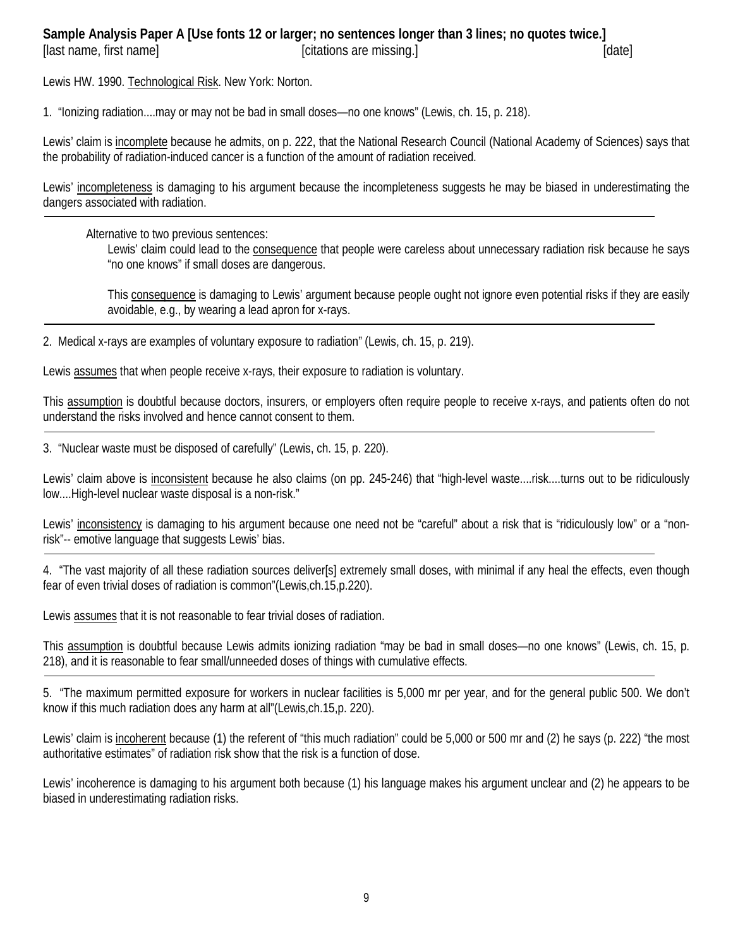#### **Sample Analysis Paper A [Use fonts 12 or larger; no sentences longer than 3 lines; no quotes twice.]** [last name, first name] [citations are missing.] [date] [date]

Lewis HW. 1990. Technological Risk. New York: Norton.

1. "Ionizing radiation....may or may not be bad in small doses—no one knows" (Lewis, ch. 15, p. 218).

Lewis' claim is incomplete because he admits, on p. 222, that the National Research Council (National Academy of Sciences) says that the probability of radiation-induced cancer is a function of the amount of radiation received.

Lewis' incompleteness is damaging to his argument because the incompleteness suggests he may be biased in underestimating the dangers associated with radiation.

Alternative to two previous sentences:

Lewis' claim could lead to the consequence that people were careless about unnecessary radiation risk because he says "no one knows" if small doses are dangerous.

This consequence is damaging to Lewis' argument because people ought not ignore even potential risks if they are easily avoidable, e.g., by wearing a lead apron for x-rays.

2. Medical x-rays are examples of voluntary exposure to radiation" (Lewis, ch. 15, p. 219).

Lewis assumes that when people receive x-rays, their exposure to radiation is voluntary.

This assumption is doubtful because doctors, insurers, or employers often require people to receive x-rays, and patients often do not understand the risks involved and hence cannot consent to them.

3. "Nuclear waste must be disposed of carefully" (Lewis, ch. 15, p. 220).

Lewis' claim above is inconsistent because he also claims (on pp. 245-246) that "high-level waste....risk....turns out to be ridiculously low....High-level nuclear waste disposal is a non-risk."

Lewis' inconsistency is damaging to his argument because one need not be "careful" about a risk that is "ridiculously low" or a "nonrisk"-- emotive language that suggests Lewis' bias.

4. "The vast majority of all these radiation sources deliver[s] extremely small doses, with minimal if any heal the effects, even though fear of even trivial doses of radiation is common"(Lewis,ch.15,p.220).

Lewis assumes that it is not reasonable to fear trivial doses of radiation.

This assumption is doubtful because Lewis admits ionizing radiation "may be bad in small doses—no one knows" (Lewis, ch. 15, p. 218), and it is reasonable to fear small/unneeded doses of things with cumulative effects.

5. "The maximum permitted exposure for workers in nuclear facilities is 5,000 mr per year, and for the general public 500. We don't know if this much radiation does any harm at all"(Lewis,ch.15,p. 220).

Lewis' claim is incoherent because (1) the referent of "this much radiation" could be 5,000 or 500 mr and (2) he says (p. 222) "the most authoritative estimates" of radiation risk show that the risk is a function of dose.

Lewis' incoherence is damaging to his argument both because (1) his language makes his argument unclear and (2) he appears to be biased in underestimating radiation risks.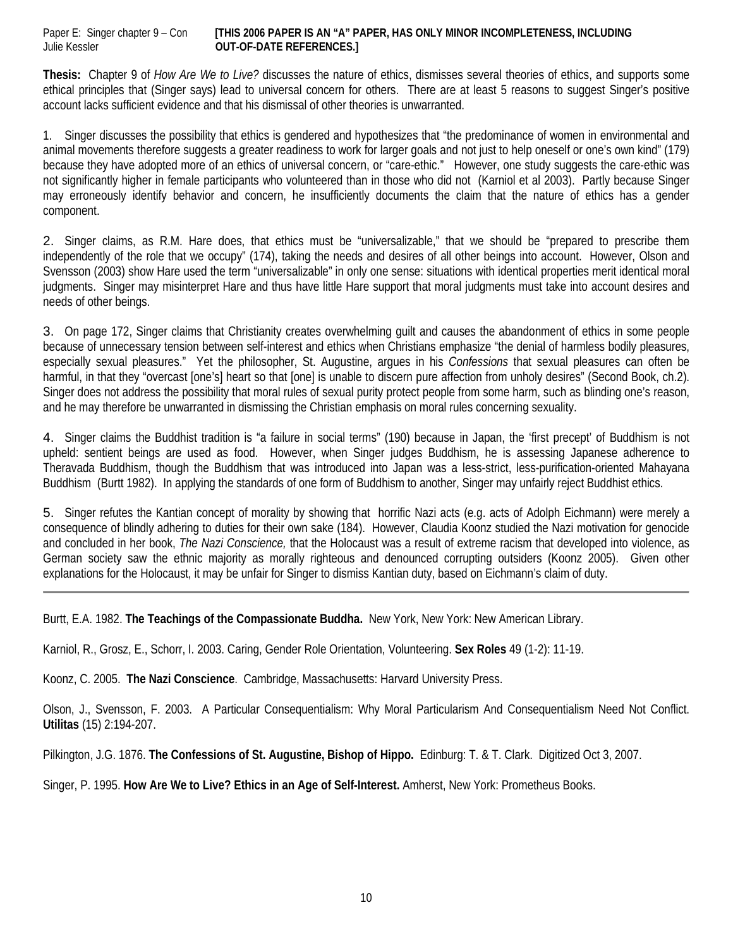Paper E: Singer chapter 9 – Con **[THIS 2006 PAPER IS AN "A" PAPER, HAS ONLY MINOR INCOMPLETENESS, INCLUDING**  Julie Kessler **OUT-OF-DATE REFERENCES.]**

**Thesis:** Chapter 9 of *How Are We to Live?* discusses the nature of ethics, dismisses several theories of ethics, and supports some ethical principles that (Singer says) lead to universal concern for others. There are at least 5 reasons to suggest Singer's positive account lacks sufficient evidence and that his dismissal of other theories is unwarranted.

1. Singer discusses the possibility that ethics is gendered and hypothesizes that "the predominance of women in environmental and animal movements therefore suggests a greater readiness to work for larger goals and not just to help oneself or one's own kind" (179) because they have adopted more of an ethics of universal concern, or "care-ethic." However, one study suggests the care-ethic was not significantly higher in female participants who volunteered than in those who did not (Karniol et al 2003). Partly because Singer may erroneously identify behavior and concern, he insufficiently documents the claim that the nature of ethics has a gender component.

2. Singer claims, as R.M. Hare does, that ethics must be "universalizable," that we should be "prepared to prescribe them independently of the role that we occupy" (174), taking the needs and desires of all other beings into account. However, Olson and Svensson (2003) show Hare used the term "universalizable" in only one sense: situations with identical properties merit identical moral judgments. Singer may misinterpret Hare and thus have little Hare support that moral judgments must take into account desires and needs of other beings.

3. On page 172, Singer claims that Christianity creates overwhelming guilt and causes the abandonment of ethics in some people because of unnecessary tension between self-interest and ethics when Christians emphasize "the denial of harmless bodily pleasures, especially sexual pleasures." Yet the philosopher, St. Augustine, argues in his *Confessions* that sexual pleasures can often be harmful, in that they "overcast [one's] heart so that [one] is unable to discern pure affection from unholy desires" (Second Book, ch.2). Singer does not address the possibility that moral rules of sexual purity protect people from some harm, such as blinding one's reason, and he may therefore be unwarranted in dismissing the Christian emphasis on moral rules concerning sexuality.

4. Singer claims the Buddhist tradition is "a failure in social terms" (190) because in Japan, the 'first precept' of Buddhism is not upheld: sentient beings are used as food. However, when Singer judges Buddhism, he is assessing Japanese adherence to Theravada Buddhism, though the Buddhism that was introduced into Japan was a less-strict, less-purification-oriented Mahayana Buddhism (Burtt 1982). In applying the standards of one form of Buddhism to another, Singer may unfairly reject Buddhist ethics.

5. Singer refutes the Kantian concept of morality by showing that horrific Nazi acts (e.g. acts of Adolph Eichmann) were merely a consequence of blindly adhering to duties for their own sake (184). However, Claudia Koonz studied the Nazi motivation for genocide and concluded in her book, *The Nazi Conscience,* that the Holocaust was a result of extreme racism that developed into violence, as German society saw the ethnic majority as morally righteous and denounced corrupting outsiders (Koonz 2005). Given other explanations for the Holocaust, it may be unfair for Singer to dismiss Kantian duty, based on Eichmann's claim of duty.

Burtt, E.A. 1982. **The Teachings of the Compassionate Buddha.** New York, New York: New American Library.

Karniol, R., Grosz, E., Schorr, I. 2003. Caring, Gender Role Orientation, Volunteering. **Sex Roles** 49 (1-2): 11-19.

Koonz, C. 2005. **The Nazi Conscience**. Cambridge, Massachusetts: Harvard University Press.

Olson, J., Svensson, F. 2003. A Particular Consequentialism: Why Moral Particularism And Consequentialism Need Not Conflict. **Utilitas** (15) 2:194-207.

Pilkington, J.G. 1876. **The Confessions of St. Augustine, Bishop of Hippo.** Edinburg: T. & T. Clark. Digitized Oct 3, 2007.

Singer, P. 1995. **How Are We to Live? Ethics in an Age of Self-Interest.** Amherst, New York: Prometheus Books.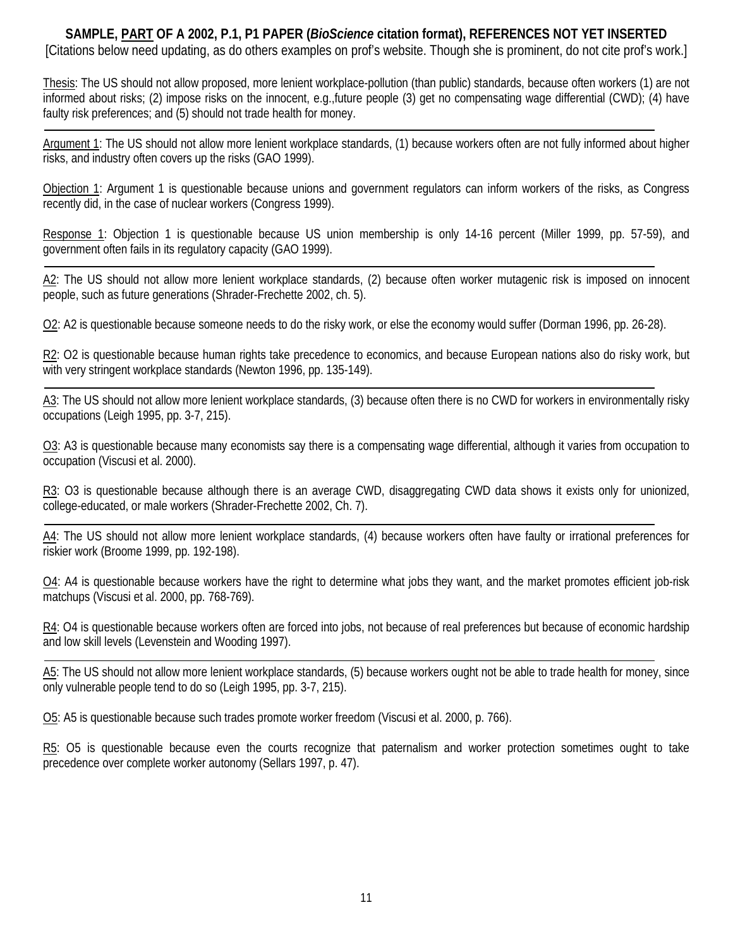**SAMPLE, PART OF A 2002, P.1, P1 PAPER (***BioScience* **citation format), REFERENCES NOT YET INSERTED** [Citations below need updating, as do others examples on prof's website. Though she is prominent, do not cite prof's work.]

Thesis: The US should not allow proposed, more lenient workplace-pollution (than public) standards, because often workers (1) are not informed about risks; (2) impose risks on the innocent, e.g.,future people (3) get no compensating wage differential (CWD); (4) have faulty risk preferences; and (5) should not trade health for money.

Argument 1: The US should not allow more lenient workplace standards, (1) because workers often are not fully informed about higher risks, and industry often covers up the risks (GAO 1999).

Objection 1: Argument 1 is questionable because unions and government regulators can inform workers of the risks, as Congress recently did, in the case of nuclear workers (Congress 1999).

Response 1: Objection 1 is questionable because US union membership is only 14-16 percent (Miller 1999, pp. 57-59), and government often fails in its regulatory capacity (GAO 1999).

A2: The US should not allow more lenient workplace standards, (2) because often worker mutagenic risk is imposed on innocent people, such as future generations (Shrader-Frechette 2002, ch. 5).

O2: A2 is questionable because someone needs to do the risky work, or else the economy would suffer (Dorman 1996, pp. 26-28).

R2: O2 is questionable because human rights take precedence to economics, and because European nations also do risky work, but with very stringent workplace standards (Newton 1996, pp. 135-149).

A3: The US should not allow more lenient workplace standards, (3) because often there is no CWD for workers in environmentally risky occupations (Leigh 1995, pp. 3-7, 215).

O3: A3 is questionable because many economists say there is a compensating wage differential, although it varies from occupation to occupation (Viscusi et al. 2000).

 $R3$ : O3 is questionable because although there is an average CWD, disaggregating CWD data shows it exists only for unionized, college-educated, or male workers (Shrader-Frechette 2002, Ch. 7).

A4: The US should not allow more lenient workplace standards, (4) because workers often have faulty or irrational preferences for riskier work (Broome 1999, pp. 192-198).

O4: A4 is questionable because workers have the right to determine what jobs they want, and the market promotes efficient job-risk matchups (Viscusi et al. 2000, pp. 768-769).

R4: O4 is questionable because workers often are forced into jobs, not because of real preferences but because of economic hardship and low skill levels (Levenstein and Wooding 1997).

A5: The US should not allow more lenient workplace standards, (5) because workers ought not be able to trade health for money, since only vulnerable people tend to do so (Leigh 1995, pp. 3-7, 215).

O5: A5 is questionable because such trades promote worker freedom (Viscusi et al. 2000, p. 766).

R5: O5 is questionable because even the courts recognize that paternalism and worker protection sometimes ought to take precedence over complete worker autonomy (Sellars 1997, p. 47).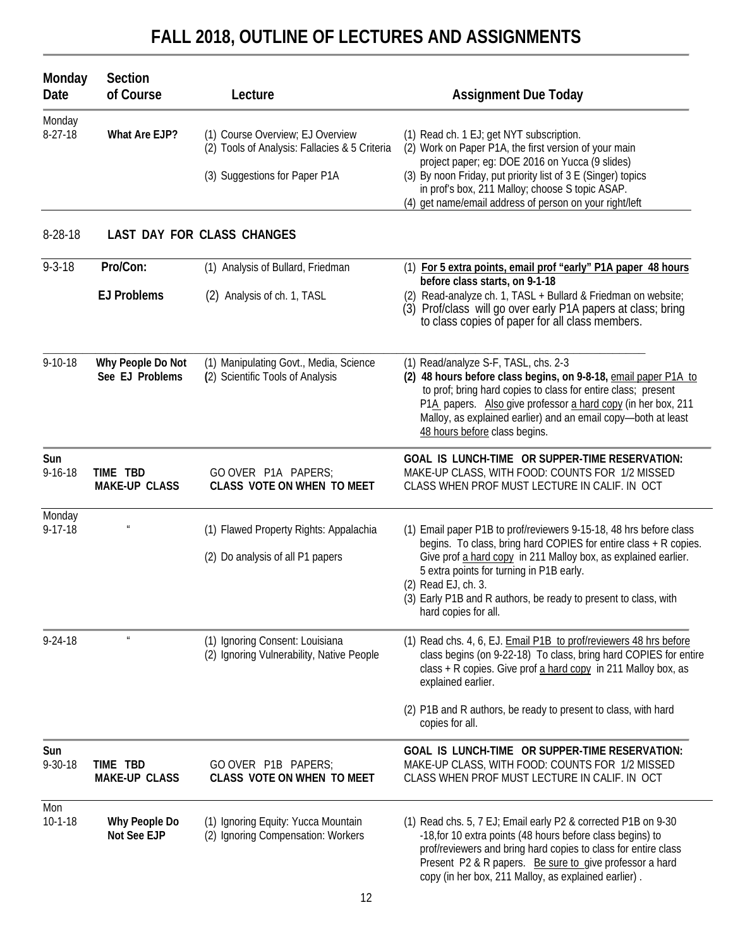# **FALL 2018, OUTLINE OF LECTURES AND ASSIGNMENTS**

| Monday<br>Date          | Section<br>of Course                 | Lecture                                                                                                            | <b>Assignment Due Today</b>                                                                                                                                                                                                                                                                                                                                            |
|-------------------------|--------------------------------------|--------------------------------------------------------------------------------------------------------------------|------------------------------------------------------------------------------------------------------------------------------------------------------------------------------------------------------------------------------------------------------------------------------------------------------------------------------------------------------------------------|
| Monday<br>$8-27-18$     | What Are EJP?                        | (1) Course Overview; EJ Overview<br>(2) Tools of Analysis: Fallacies & 5 Criteria<br>(3) Suggestions for Paper P1A | (1) Read ch. 1 EJ; get NYT subscription.<br>(2) Work on Paper P1A, the first version of your main<br>project paper; eg: DOE 2016 on Yucca (9 slides)<br>(3) By noon Friday, put priority list of 3 E (Singer) topics<br>in prof's box, 211 Malloy; choose S topic ASAP.<br>(4) get name/email address of person on your right/left                                     |
| 8-28-18                 |                                      | LAST DAY FOR CLASS CHANGES                                                                                         |                                                                                                                                                                                                                                                                                                                                                                        |
| $9 - 3 - 18$            | Pro/Con:                             | (1) Analysis of Bullard, Friedman                                                                                  | (1) For 5 extra points, email prof "early" P1A paper 48 hours                                                                                                                                                                                                                                                                                                          |
|                         | <b>EJ Problems</b>                   | (2) Analysis of ch. 1, TASL                                                                                        | before class starts, on 9-1-18<br>Read-analyze ch. 1, TASL + Bullard & Friedman on website;<br>(2)<br>(3) Prof/class will go over early P1A papers at class; bring<br>to class copies of paper for all class members.                                                                                                                                                  |
| $9 - 10 - 18$           | Why People Do Not<br>See EJ Problems | (1) Manipulating Govt., Media, Science<br>(2) Scientific Tools of Analysis                                         | (1) Read/analyze S-F, TASL, chs. 2-3<br>(2) 48 hours before class begins, on 9-8-18, email paper P1A to<br>to prof; bring hard copies to class for entire class; present<br>P1A papers. Also give professor a hard copy (in her box, 211<br>Malloy, as explained earlier) and an email copy-both at least<br>48 hours before class begins.                             |
| Sun<br>$9 - 16 - 18$    | TIME TBD<br><b>MAKE-UP CLASS</b>     | GO OVER P1A PAPERS;<br>CLASS VOTE ON WHEN TO MEET                                                                  | GOAL IS LUNCH-TIME OR SUPPER-TIME RESERVATION:<br>MAKE-UP CLASS, WITH FOOD: COUNTS FOR 1/2 MISSED<br>CLASS WHEN PROF MUST LECTURE IN CALIF. IN OCT                                                                                                                                                                                                                     |
| Monday<br>$9 - 17 - 18$ |                                      | (1) Flawed Property Rights: Appalachia<br>(2) Do analysis of all P1 papers                                         | (1) Email paper P1B to prof/reviewers 9-15-18, 48 hrs before class<br>begins. To class, bring hard COPIES for entire class + R copies.<br>Give prof a hard copy in 211 Malloy box, as explained earlier.<br>5 extra points for turning in P1B early.<br>(2) Read EJ, ch. 3.<br>(3) Early P1B and R authors, be ready to present to class, with<br>hard copies for all. |
| $9 - 24 - 18$           | $\boldsymbol{\mathit{u}}$            | (1) Ignoring Consent: Louisiana<br>(2) Ignoring Vulnerability, Native People                                       | (1) Read chs. 4, 6, EJ. Email P1B to prof/reviewers 48 hrs before<br>class begins (on 9-22-18) To class, bring hard COPIES for entire<br>class + R copies. Give prof a hard copy in 211 Malloy box, as<br>explained earlier.                                                                                                                                           |
|                         |                                      |                                                                                                                    | (2) P1B and R authors, be ready to present to class, with hard<br>copies for all.                                                                                                                                                                                                                                                                                      |
| Sun<br>$9 - 30 - 18$    | TIME TBD<br><b>MAKE-UP CLASS</b>     | GO OVER P1B PAPERS;<br>CLASS VOTE ON WHEN TO MEET                                                                  | GOAL IS LUNCH-TIME OR SUPPER-TIME RESERVATION:<br>MAKE-UP CLASS, WITH FOOD: COUNTS FOR 1/2 MISSED<br>CLASS WHEN PROF MUST LECTURE IN CALIF. IN OCT                                                                                                                                                                                                                     |
| Mon<br>$10 - 1 - 18$    | Why People Do<br>Not See EJP         | (1) Ignoring Equity: Yucca Mountain<br>(2) Ignoring Compensation: Workers                                          | (1) Read chs. 5, 7 EJ; Email early P2 & corrected P1B on 9-30<br>-18, for 10 extra points (48 hours before class begins) to<br>prof/reviewers and bring hard copies to class for entire class<br>Present P2 & R papers. Be sure to give professor a hard<br>copy (in her box, 211 Malloy, as explained earlier).                                                       |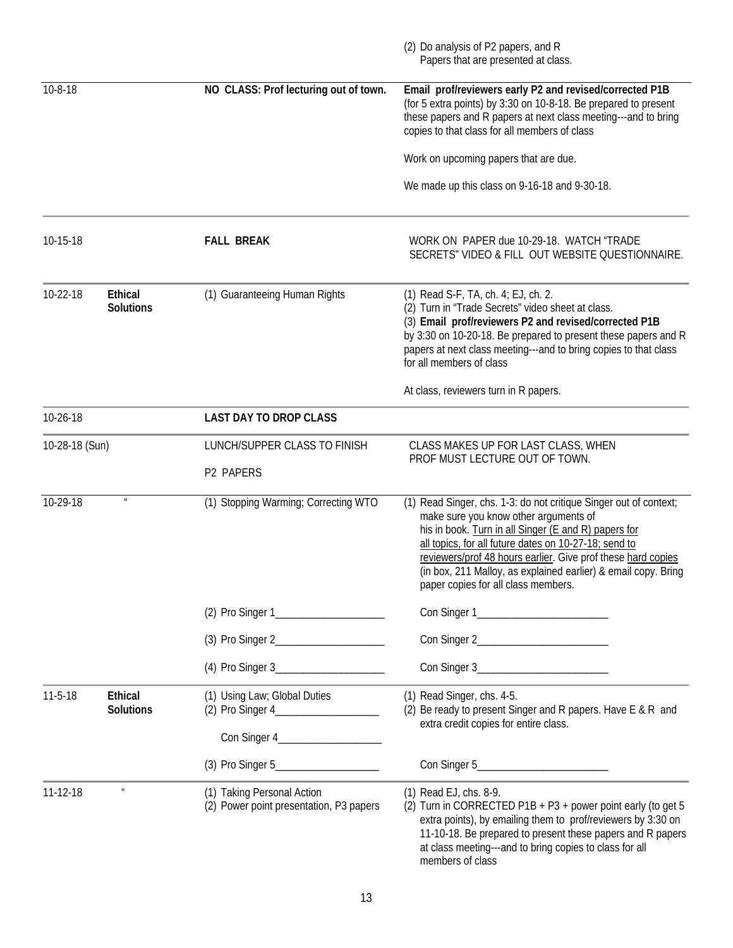|                |                                    |                                                                       | (2) Do analysis of P2 papers, and R<br>Papers that are presented at class.                                                                                                                                                                                                                                                                                                                           |
|----------------|------------------------------------|-----------------------------------------------------------------------|------------------------------------------------------------------------------------------------------------------------------------------------------------------------------------------------------------------------------------------------------------------------------------------------------------------------------------------------------------------------------------------------------|
| $10 - 8 - 18$  |                                    | NO CLASS: Prof lecturing out of town.                                 | Email prof/reviewers early P2 and revised/corrected P1B<br>(for 5 extra points) by 3:30 on 10-8-18. Be prepared to present<br>these papers and R papers at next class meeting---and to bring<br>copies to that class for all members of class                                                                                                                                                        |
|                |                                    |                                                                       | Work on upcoming papers that are due.                                                                                                                                                                                                                                                                                                                                                                |
|                |                                    |                                                                       | We made up this class on 9-16-18 and 9-30-18.                                                                                                                                                                                                                                                                                                                                                        |
| 10-15-18       |                                    | <b>FALL BREAK</b>                                                     | WORK ON PAPER due 10-29-18. WATCH "TRADE<br>SECRETS" VIDEO & FILL OUT WEBSITE QUESTIONNAIRE.                                                                                                                                                                                                                                                                                                         |
| 10-22-18       | <b>Ethical</b><br><b>Solutions</b> | (1) Guaranteeing Human Rights                                         | (1) Read S-F, TA, ch. 4; EJ, ch. 2.<br>(2) Turn in "Trade Secrets" video sheet at class.<br>(3) Email prof/reviewers P2 and revised/corrected P1B<br>by 3:30 on 10-20-18. Be prepared to present these papers and R<br>papers at next class meeting---and to bring copies to that class<br>for all members of class                                                                                  |
|                |                                    |                                                                       | At class, reviewers turn in R papers.                                                                                                                                                                                                                                                                                                                                                                |
| 10-26-18       |                                    | <b>LAST DAY TO DROP CLASS</b>                                         |                                                                                                                                                                                                                                                                                                                                                                                                      |
| 10-28-18 (Sun) |                                    | LUNCH/SUPPER CLASS TO FINISH<br>P2 PAPERS                             | CLASS MAKES UP FOR LAST CLASS, WHEN<br>PROF MUST LECTURE OUT OF TOWN.                                                                                                                                                                                                                                                                                                                                |
| 10-29-18       |                                    | (1) Stopping Warming; Correcting WTO                                  | (1) Read Singer, chs. 1-3: do not critique Singer out of context;<br>make sure you know other arguments of<br>his in book. Turn in all Singer (E and R) papers for<br>all topics, for all future dates on 10-27-18; send to<br>reviewers/prof 48 hours earlier. Give prof these hard copies<br>(in box, 211 Malloy, as explained earlier) & email copy. Bring<br>paper copies for all class members. |
|                |                                    |                                                                       |                                                                                                                                                                                                                                                                                                                                                                                                      |
|                |                                    |                                                                       |                                                                                                                                                                                                                                                                                                                                                                                                      |
|                |                                    |                                                                       | Con Singer 3___________________________                                                                                                                                                                                                                                                                                                                                                              |
| $11 - 5 - 18$  | <b>Ethical</b><br><b>Solutions</b> | (1) Using Law; Global Duties                                          | (1) Read Singer, chs. 4-5.<br>(2) Be ready to present Singer and R papers. Have E & R and<br>extra credit copies for entire class.                                                                                                                                                                                                                                                                   |
|                |                                    |                                                                       |                                                                                                                                                                                                                                                                                                                                                                                                      |
| 11-12-18       | $\boldsymbol{u}$                   | (1) Taking Personal Action<br>(2) Power point presentation, P3 papers | (1) Read EJ, chs. 8-9.<br>(2) Turn in CORRECTED P1B + P3 + power point early (to get 5<br>extra points), by emailing them to prof/reviewers by 3:30 on<br>11-10-18. Be prepared to present these papers and R papers<br>at class meeting---and to bring copies to class for all<br>members of class                                                                                                  |